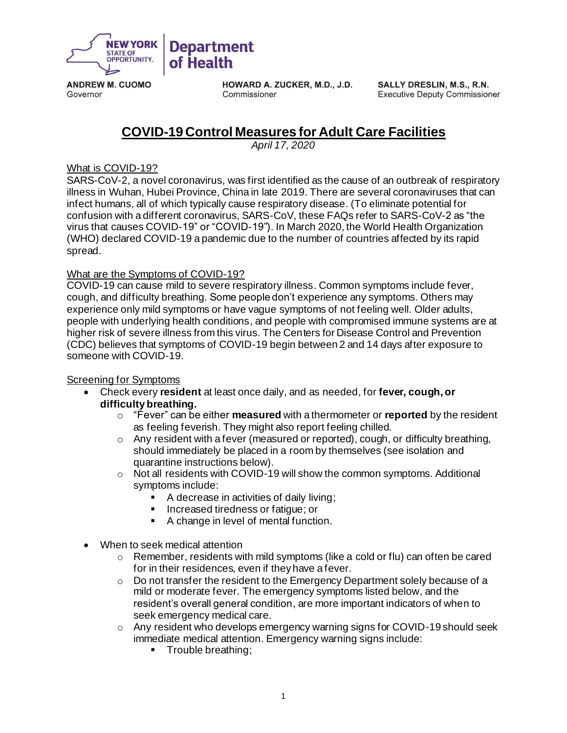

**ANDREW M. CUOMO** Governor

**HOWARD A. ZUCKER, M.D., J.D.** Commissioner

SALLY DRESLIN, M.S., R.N. **Executive Deputy Commissioner** 

# **COVID-19 Control Measures for Adult Care Facilities**

*April 17, 2020*

### What is COVID-19?

SARS-CoV-2, a novel coronavirus, was first identified as the cause of an outbreak of respiratory illness in Wuhan, Hubei Province, China in late 2019. There are several coronaviruses that can infect humans, all of which typically cause respiratory disease. (To eliminate potential for confusion with a different coronavirus, SARS-CoV, these FAQs refer to SARS-CoV-2 as "the virus that causes COVID-19" or "COVID-19"). In March 2020, the World Health Organization (WHO) declared COVID-19 a pandemic due to the number of countries affected by its rapid spread.

## What are the Symptoms of COVID-19?

COVID-19 can cause mild to severe respiratory illness. Common symptoms include fever, cough, and difficulty breathing. Some people don't experience any symptoms. Others may experience only mild symptoms or have vague symptoms of not feeling well. Older adults, people with underlying health conditions, and people with compromised immune systems are at higher risk of severe illness from this virus. The Centers for Disease Control and Prevention (CDC) believes that symptoms of COVID-19 begin between 2 and 14 days after exposure to someone with COVID-19.

#### Screening for Symptoms

- Check every **resident** at least once daily, and as needed, for **fever, cough, or difficulty breathing.**
	- o "Fever" can be either **measured** with a thermometer or **reported** by the resident as feeling feverish. They might also report feeling chilled.
	- $\circ$  Any resident with a fever (measured or reported), cough, or difficulty breathing, should immediately be placed in a room by themselves (see isolation and quarantine instructions below).
	- $\circ$  Not all residents with COVID-19 will show the common symptoms. Additional symptoms include:
		- A decrease in activities of daily living;
		- Increased tiredness or fatigue; or
		- A change in level of mental function.
- When to seek medical attention
	- $\circ$  Remember, residents with mild symptoms (like a cold or flu) can often be cared for in their residences, even if they have a fever.
	- o Do not transfer the resident to the Emergency Department solely because of a mild or moderate fever. The emergency symptoms listed below, and the resident's overall general condition, are more important indicators of when to seek emergency medical care.
	- o Any resident who develops emergency warning signs for COVID-19 should seek immediate medical attention. Emergency warning signs include:
		- Trouble breathing;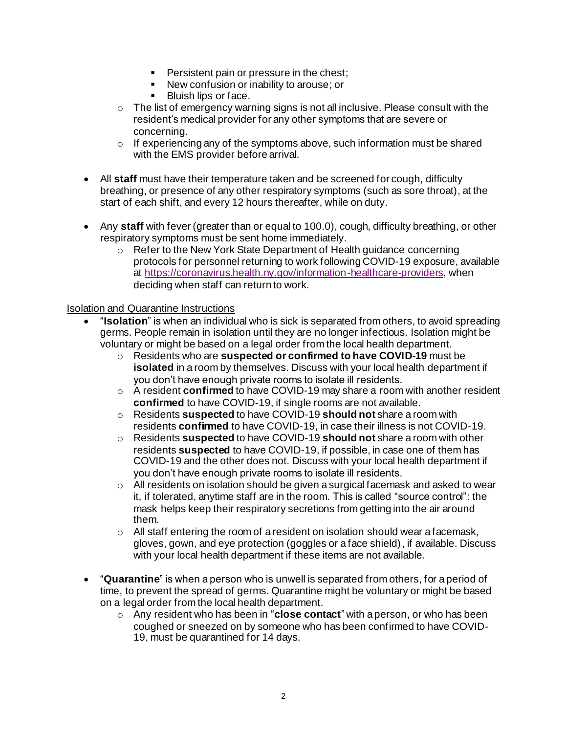- **•** Persistent pain or pressure in the chest;
- New confusion or inability to arouse; or
- Bluish lips or face.
- $\circ$  The list of emergency warning signs is not all inclusive. Please consult with the resident's medical provider for any other symptoms that are severe or concerning.
- $\circ$  If experiencing any of the symptoms above, such information must be shared with the EMS provider before arrival.
- All **staff** must have their temperature taken and be screened for cough, difficulty breathing, or presence of any other respiratory symptoms (such as sore throat), at the start of each shift, and every 12 hours thereafter, while on duty.
- Any **staff** with fever (greater than or equal to 100.0), cough, difficulty breathing, or other respiratory symptoms must be sent home immediately.
	- o Refer to the New York State Department of Health guidance concerning protocols for personnel returning to work following COVID-19 exposure, available at https://coronavirus.health.ny.gov/information-healthcare-providers, when deciding when staff can return to work.

#### Isolation and Quarantine Instructions

- "**Isolation**" is when an individual who is sick is separated from others, to avoid spreading germs. People remain in isolation until they are no longer infectious. Isolation might be voluntary or might be based on a legal order from the local health department.
	- o Residents who are **suspected or confirmed to have COVID-19** must be **isolated** in a room by themselves. Discuss with your local health department if you don't have enough private rooms to isolate ill residents.
	- o A resident **confirmed** to have COVID-19 may share a room with another resident **confirmed** to have COVID-19, if single rooms are not available.
	- o Residents **suspected** to have COVID-19 **should not** share a room with residents **confirmed** to have COVID-19, in case their illness is not COVID-19.
	- o Residents **suspected** to have COVID-19 **should not** share a room with other residents **suspected** to have COVID-19, if possible, in case one of them has COVID-19 and the other does not. Discuss with your local health department if you don't have enough private rooms to isolate ill residents.
	- o All residents on isolation should be given a surgical facemask and asked to wear it, if tolerated, anytime staff are in the room. This is called "source control": the mask helps keep their respiratory secretions from getting into the air around them.
	- $\circ$  All staff entering the room of a resident on isolation should wear a facemask, gloves, gown, and eye protection (goggles or a face shield), if available. Discuss with your local health department if these items are not available.
- "**Quarantine**" is when a person who is unwell is separated from others, for a period of time, to prevent the spread of germs. Quarantine might be voluntary or might be based on a legal order from the local health department.
	- o Any resident who has been in "**close contact**" with a person, or who has been coughed or sneezed on by someone who has been confirmed to have COVID-19, must be quarantined for 14 days.